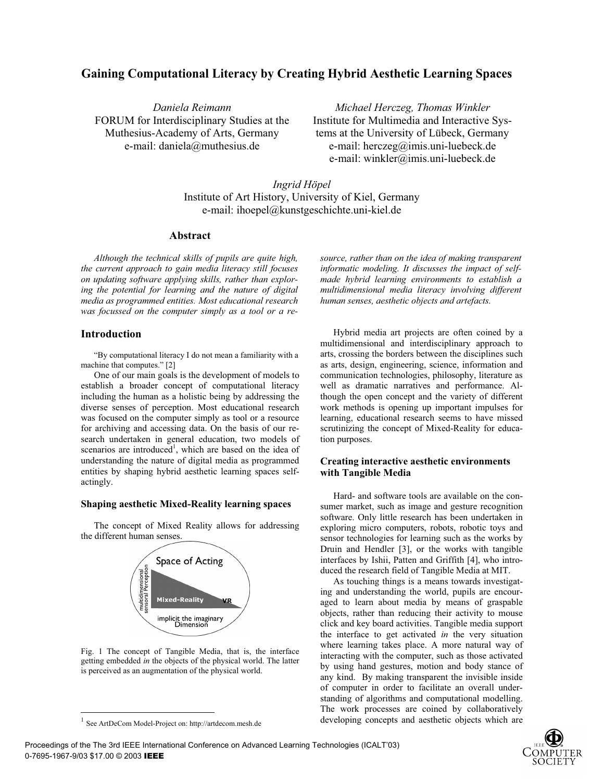# **Gaining Computational Literacy by Creating Hybrid Aesthetic Learning Spaces**

*Daniela Reimann*  FORUM for Interdisciplinary Studies at the Muthesius-Academy of Arts, Germany e-mail: daniela@muthesius.de

*Michael Herczeg, Thomas Winkler*  Institute for Multimedia and Interactive Systems at the University of Lübeck, Germany e-mail: herczeg@imis.uni-luebeck.de e-mail: winkler@imis.uni-luebeck.de

*source, rather than on the idea of making transparent informatic modeling. It discusses the impact of selfmade hybrid learning environments to establish a multidimensional media literacy involving different human senses, aesthetic objects and artefacts.* 

Hybrid media art projects are often coined by a multidimensional and interdisciplinary approach to arts, crossing the borders between the disciplines such as arts, design, engineering, science, information and communication technologies, philosophy, literature as well as dramatic narratives and performance. Although the open concept and the variety of different work methods is opening up important impulses for learning, educational research seems to have missed scrutinizing the concept of Mixed-Reality for educa-

**Creating interactive aesthetic environments** 

Hard- and software tools are available on the con-

*Ingrid Höpel*  Institute of Art History, University of Kiel, Germany e-mail: ihoepel@kunstgeschichte.uni-kiel.de

### **Abstract**

*Although the technical skills of pupils are quite high, the current approach to gain media literacy still focuses on updating software applying skills, rather than exploring the potential for learning and the nature of digital media as programmed entities. Most educational research was focussed on the computer simply as a tool or a re-*

## **Introduction**

"By computational literacy I do not mean a familiarity with a machine that computes." [2]

One of our main goals is the development of models to establish a broader concept of computational literacy including the human as a holistic being by addressing the diverse senses of perception. Most educational research was focused on the computer simply as tool or a resource for archiving and accessing data. On the basis of our research undertaken in general education, two models of scenarios are introduced<sup>1</sup>, which are based on the idea of understanding the nature of digital media as programmed entities by shaping hybrid aesthetic learning spaces selfactingly.

### **Shaping aesthetic Mixed-Reality learning spaces**

The concept of Mixed Reality allows for addressing the different human senses.



Fig. 1 The concept of Tangible Media, that is, the interface getting embedded *in* the objects of the physical world. The latter is perceived as an augmentation of the physical world.

sumer market, such as image and gesture recognition software. Only little research has been undertaken in exploring micro computers, robots, robotic toys and sensor technologies for learning such as the works by Druin and Hendler [3], or the works with tangible

tion purposes.

**with Tangible Media** 

duced the research field of Tangible Media at MIT. As touching things is a means towards investigating and understanding the world, pupils are encouraged to learn about media by means of graspable objects, rather than reducing their activity to mouse click and key board activities. Tangible media support the interface to get activated *in* the very situation where learning takes place. A more natural way of interacting with the computer, such as those activated by using hand gestures, motion and body stance of any kind. By making transparent the invisible inside of computer in order to facilitate an overall understanding of algorithms and computational modelling. The work processes are coined by collaboratively developing concepts and aesthetic objects which are

interfaces by Ishii, Patten and Griffith [4], who intro-



<sup>1</sup> See ArtDeCom Model-Project on: http://artdecom.mesh.de